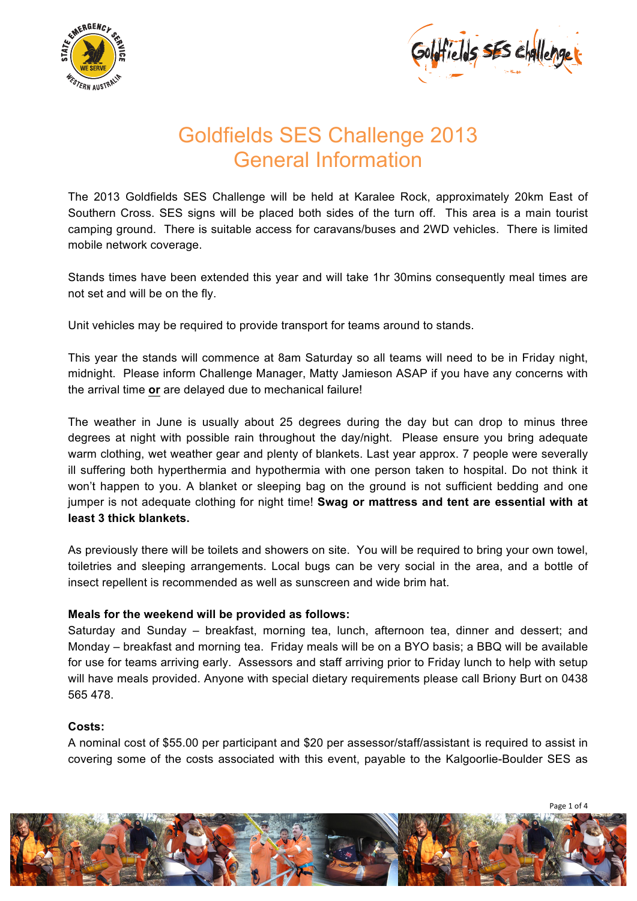



## Goldfields SES Challenge 2013 General Information

The 2013 Goldfields SES Challenge will be held at Karalee Rock, approximately 20km East of Southern Cross. SES signs will be placed both sides of the turn off. This area is a main tourist camping ground. There is suitable access for caravans/buses and 2WD vehicles. There is limited mobile network coverage.

Stands times have been extended this year and will take 1hr 30mins consequently meal times are not set and will be on the fly.

Unit vehicles may be required to provide transport for teams around to stands.

This year the stands will commence at 8am Saturday so all teams will need to be in Friday night, midnight. Please inform Challenge Manager, Matty Jamieson ASAP if you have any concerns with the arrival time **or** are delayed due to mechanical failure!

The weather in June is usually about 25 degrees during the day but can drop to minus three degrees at night with possible rain throughout the day/night. Please ensure you bring adequate warm clothing, wet weather gear and plenty of blankets. Last year approx. 7 people were severally ill suffering both hyperthermia and hypothermia with one person taken to hospital. Do not think it won't happen to you. A blanket or sleeping bag on the ground is not sufficient bedding and one jumper is not adequate clothing for night time! **Swag or mattress and tent are essential with at least 3 thick blankets.**

As previously there will be toilets and showers on site. You will be required to bring your own towel, toiletries and sleeping arrangements. Local bugs can be very social in the area, and a bottle of insect repellent is recommended as well as sunscreen and wide brim hat.

#### **Meals for the weekend will be provided as follows:**

Saturday and Sunday – breakfast, morning tea, lunch, afternoon tea, dinner and dessert; and Monday – breakfast and morning tea. Friday meals will be on a BYO basis; a BBQ will be available for use for teams arriving early. Assessors and staff arriving prior to Friday lunch to help with setup will have meals provided. Anyone with special dietary requirements please call Briony Burt on 0438 565 478.

#### **Costs:**

A nominal cost of \$55.00 per participant and \$20 per assessor/staff/assistant is required to assist in covering some of the costs associated with this event, payable to the Kalgoorlie-Boulder SES as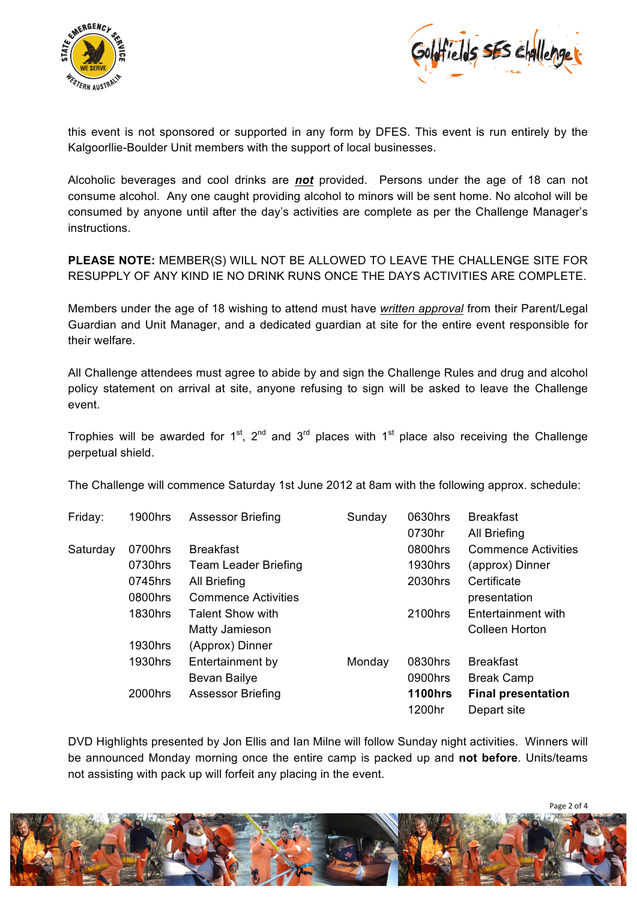



this event is not sponsored or supported in any form by DFES. This event is run entirely by the Kalgoorllie-Boulder Unit members with the support of local businesses.

Alcoholic beverages and cool drinks are *not* provided. Persons under the age of 18 can not consume alcohol. Any one caught providing alcohol to minors will be sent home. No alcohol will be consumed by anyone until after the day's activities are complete as per the Challenge Manager's instructions.

**PLEASE NOTE:** MEMBER(S) WILL NOT BE ALLOWED TO LEAVE THE CHALLENGE SITE FOR RESUPPLY OF ANY KIND IE NO DRINK RUNS ONCE THE DAYS ACTIVITIES ARE COMPLETE.

Members under the age of 18 wishing to attend must have *written approval* from their Parent/Legal Guardian and Unit Manager, and a dedicated guardian at site for the entire event responsible for their welfare.

All Challenge attendees must agree to abide by and sign the Challenge Rules and drug and alcohol policy statement on arrival at site, anyone refusing to sign will be asked to leave the Challenge event.

Trophies will be awarded for 1<sup>st</sup>, 2<sup>nd</sup> and 3<sup>rd</sup> places with 1<sup>st</sup> place also receiving the Challenge perpetual shield.

The Challenge will commence Saturday 1st June 2012 at 8am with the following approx. schedule:

| Friday:  | 1900hrs | <b>Assessor Briefing</b>    | Sunday | 0630hrs        | <b>Breakfast</b>           |
|----------|---------|-----------------------------|--------|----------------|----------------------------|
|          |         |                             |        | 0730hr         | All Briefing               |
| Saturday | 0700hrs | <b>Breakfast</b>            |        | 0800hrs        | <b>Commence Activities</b> |
|          | 0730hrs | <b>Team Leader Briefing</b> |        | 1930hrs        | (approx) Dinner            |
|          | 0745hrs | All Briefing                |        | 2030hrs        | Certificate                |
|          | 0800hrs | <b>Commence Activities</b>  |        |                | presentation               |
|          | 1830hrs | <b>Talent Show with</b>     |        | 2100hrs        | Entertainment with         |
|          |         | Matty Jamieson              |        |                | <b>Colleen Horton</b>      |
|          | 1930hrs | (Approx) Dinner             |        |                |                            |
|          | 1930hrs | Entertainment by            | Monday | 0830hrs        | <b>Breakfast</b>           |
|          |         | Bevan Bailye                |        | 0900hrs        | <b>Break Camp</b>          |
|          | 2000hrs | <b>Assessor Briefing</b>    |        | <b>1100hrs</b> | <b>Final presentation</b>  |
|          |         |                             |        | 1200hr         | Depart site                |

DVD Highlights presented by Jon Ellis and Ian Milne will follow Sunday night activities. Winners will be announced Monday morning once the entire camp is packed up and **not before**. Units/teams not assisting with pack up will forfeit any placing in the event.

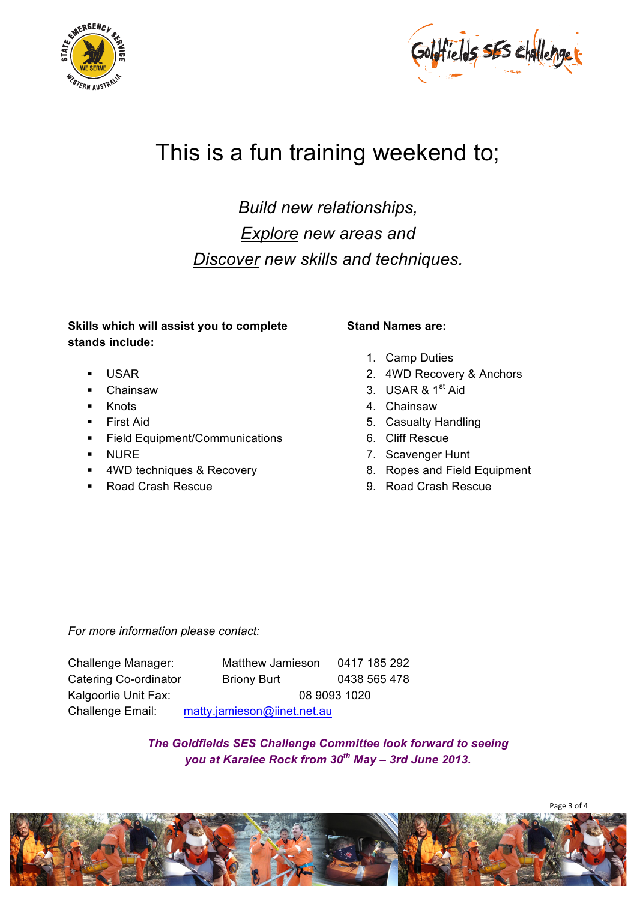



# This is a fun training weekend to;

*Build new relationships, Explore new areas and Discover new skills and techniques.*

#### **Skills which will assist you to complete stands include:**

- USAR
- Chainsaw
- **Knots**
- **First Aid**
- **Field Equipment/Communications**
- **NURE**
- **4WD techniques & Recovery**
- Road Crash Rescue

#### **Stand Names are:**

- 1. Camp Duties
- 2. 4WD Recovery & Anchors
- 3. USAR & 1<sup>st</sup> Aid
- 4. Chainsaw
- 5. Casualty Handling
- 6. Cliff Rescue
- 7. Scavenger Hunt
- 8. Ropes and Field Equipment
- 9. Road Crash Rescue

*For more information please contact:*

Challenge Manager: Matthew Jamieson 0417 185 292 Catering Co-ordinator Briony Burt 0438 565 478 Kalgoorlie Unit Fax: 08 9093 1020 Challenge Email: matty.jamieson@iinet.net.au

> *The Goldfields SES Challenge Committee look forward to seeing you at Karalee Rock from 30th May – 3rd June 2013.*